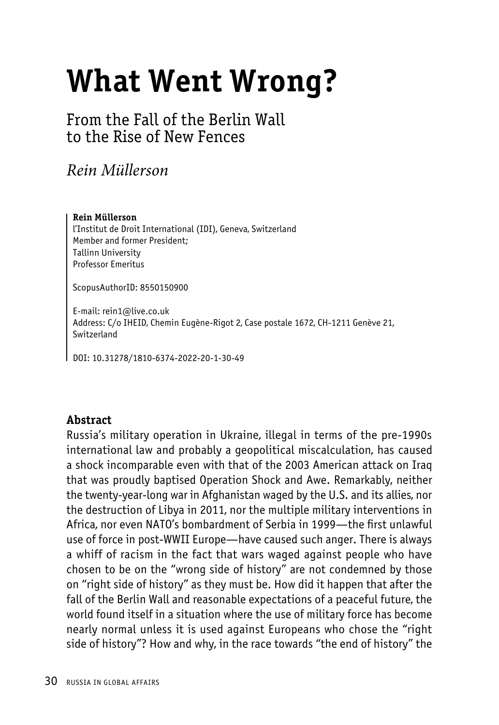# **What Went Wrong?**

From the Fall of the Berlin Wall to the Rise of New Fences

## *Rein Müllerson*

#### **Rein Müllerson**

l'Institut de Droit International (IDI), Geneva, Switzerland Member and former President; Tallinn University Professor Emeritus

ScopusAuthorID: 8550150900

E-mail: rein1@live.co.uk Address: C/o IHEID, Chemin Eugène-Rigot 2, Case postale 1672, CH-1211 Genève 21, Switzerland

DOI: 10.31278/1810-6374-2022-20-1-30-49

## **Abstract**

Russia's military operation in Ukraine, illegal in terms of the pre-1990s international law and probably a geopolitical miscalculation, has caused a shock incomparable even with that of the 2003 American attack on Iraq that was proudly baptised Operation Shock and Awe. Remarkably, neither the twenty-year-long war in Afghanistan waged by the U.S. and its allies, nor the destruction of Libya in 2011, nor the multiple military interventions in Africa, nor even NATO's bombardment of Serbia in 1999—the first unlawful use of force in post-WWII Europe—have caused such anger. There is always a whiff of racism in the fact that wars waged against people who have chosen to be on the "wrong side of history" are not condemned by those on "right side of history" as they must be. How did it happen that after the fall of the Berlin Wall and reasonable expectations of a peaceful future, the world found itself in a situation where the use of military force has become nearly normal unless it is used against Europeans who chose the "right side of history"? How and why, in the race towards "the end of history" the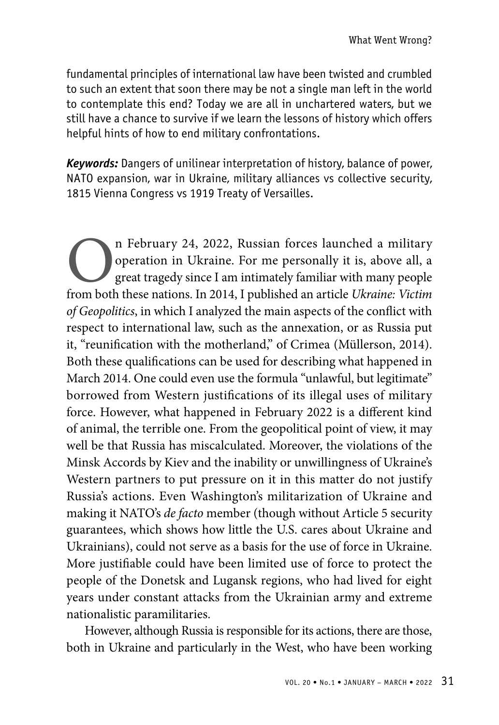fundamental principles of international law have been twisted and crumbled to such an extent that soon there may be not a single man left in the world to contemplate this end? Today we are all in unchartered waters, but we still have a chance to survive if we learn the lessons of history which offers helpful hints of how to end military confrontations.

*Keywords:* Dangers of unilinear interpretation of history, balance of power, NATO expansion, war in Ukraine, military alliances vs collective security, 1815 Vienna Congress vs 1919 Treaty of Versailles.

**On** February 24, 2022, Russian forces launched a military operation in Ukraine. For me personally it is, above all, a great tragedy since I am intimately familiar with many people from both these nations. In 2014, I publi operation in Ukraine. For me personally it is, above all, a great tragedy since I am intimately familiar with many people *of Geopolitics*, in which I analyzed the main aspects of the conflict with respect to international law, such as the annexation, or as Russia put it, "reunification with the motherland," of Crimea (Müllerson, 2014). Both these qualifications can be used for describing what happened in March 2014. One could even use the formula "unlawful, but legitimate" borrowed from Western justifications of its illegal uses of military force. However, what happened in February 2022 is a different kind of animal, the terrible one. From the geopolitical point of view, it may well be that Russia has miscalculated. Moreover, the violations of the Minsk Accords by Kiev and the inability or unwillingness of Ukraine's Western partners to put pressure on it in this matter do not justify Russia's actions. Even Washington's militarization of Ukraine and making it NATO's *de facto* member (though without Article 5 security guarantees, which shows how little the U.S. cares about Ukraine and Ukrainians), could not serve as a basis for the use of force in Ukraine. More justifiable could have been limited use of force to protect the people of the Donetsk and Lugansk regions, who had lived for eight years under constant attacks from the Ukrainian army and extreme nationalistic paramilitaries.

However, although Russia is responsible for its actions, there are those, both in Ukraine and particularly in the West, who have been working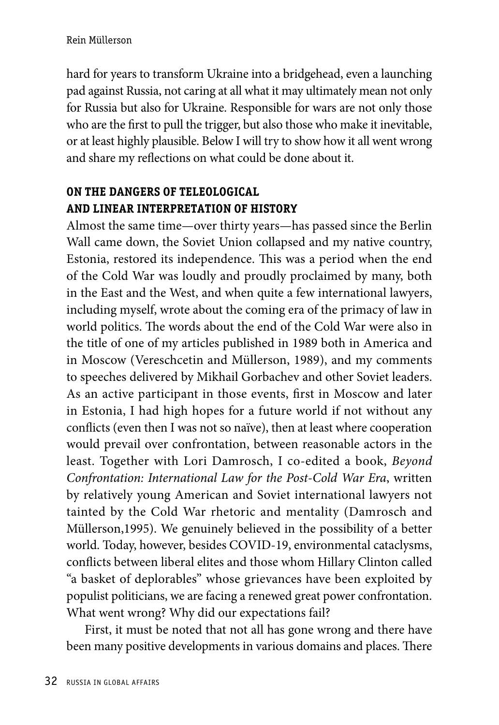hard for years to transform Ukraine into a bridgehead, even a launching pad against Russia, not caring at all what it may ultimately mean not only for Russia but also for Ukraine. Responsible for wars are not only those who are the first to pull the trigger, but also those who make it inevitable, or at least highly plausible. Below I will try to show how it all went wrong and share my reflections on what could be done about it.

## **ON THE DANGERS OF TELEOLOGICAL AND LINEAR INTERPRETATION OF HISTORY**

Almost the same time—over thirty years—has passed since the Berlin Wall came down, the Soviet Union collapsed and my native country, Estonia, restored its independence. This was a period when the end of the Cold War was loudly and proudly proclaimed by many, both in the East and the West, and when quite a few international lawyers, including myself, wrote about the coming era of the primacy of law in world politics. The words about the end of the Cold War were also in the title of one of my articles published in 1989 both in America and in Moscow (Vereschcetin and Müllerson, 1989), and my comments to speeches delivered by Mikhail Gorbachev and other Soviet leaders. As an active participant in those events, first in Moscow and later in Estonia, I had high hopes for a future world if not without any conflicts (even then I was not so naïve), then at least where cooperation would prevail over confrontation, between reasonable actors in the least. Together with Lori Damrosch, I co-edited a book, *Beyond Confrontation: International Law for the Post-Cold War Era*, written by relatively young American and Soviet international lawyers not tainted by the Cold War rhetoric and mentality (Damrosch and Müllerson,1995). We genuinely believed in the possibility of a better world. Today, however, besides COVID-19, environmental cataclysms, conflicts between liberal elites and those whom Hillary Clinton called "a basket of deplorables" whose grievances have been exploited by populist politicians, we are facing a renewed great power confrontation. What went wrong? Why did our expectations fail?

First, it must be noted that not all has gone wrong and there have been many positive developments in various domains and places. There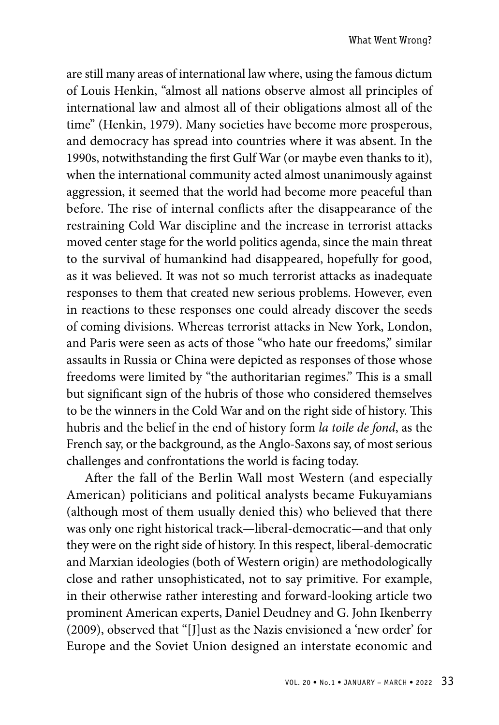are still many areas of international law where, using the famous dictum of Louis Henkin, "almost all nations observe almost all principles of international law and almost all of their obligations almost all of the time" (Henkin, 1979). Many societies have become more prosperous, and democracy has spread into countries where it was absent. In the 1990s, notwithstanding the first Gulf War (or maybe even thanks to it), when the international community acted almost unanimously against aggression, it seemed that the world had become more peaceful than before. The rise of internal conflicts after the disappearance of the restraining Cold War discipline and the increase in terrorist attacks moved center stage for the world politics agenda, since the main threat to the survival of humankind had disappeared, hopefully for good, as it was believed. It was not so much terrorist attacks as inadequate responses to them that created new serious problems. However, even in reactions to these responses one could already discover the seeds of coming divisions. Whereas terrorist attacks in New York, London, and Paris were seen as acts of those "who hate our freedoms," similar assaults in Russia or China were depicted as responses of those whose freedoms were limited by "the authoritarian regimes." This is a small but significant sign of the hubris of those who considered themselves to be the winners in the Cold War and on the right side of history. This hubris and the belief in the end of history form *la toile de fond*, as the French say, or the background, as the Anglo-Saxons say, of most serious challenges and confrontations the world is facing today.

After the fall of the Berlin Wall most Western (and especially American) politicians and political analysts became Fukuyamians (although most of them usually denied this) who believed that there was only one right historical track—liberal-democratic—and that only they were on the right side of history. In this respect, liberal-democratic and Marxian ideologies (both of Western origin) are methodologically close and rather unsophisticated, not to say primitive. For example, in their otherwise rather interesting and forward-looking article two prominent American experts, Daniel Deudney and G. John Ikenberry (2009), observed that "[J]ust as the Nazis envisioned a 'new order' for Europe and the Soviet Union designed an interstate economic and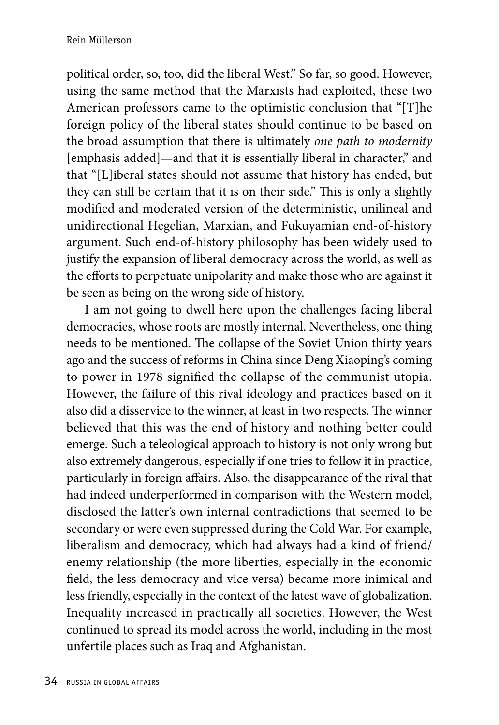political order, so, too, did the liberal West." So far, so good. However, using the same method that the Marxists had exploited, these two American professors came to the optimistic conclusion that "[T]he foreign policy of the liberal states should continue to be based on the broad assumption that there is ultimately *one path to modernity* [emphasis added]—and that it is essentially liberal in character," and that "[L]iberal states should not assume that history has ended, but they can still be certain that it is on their side." This is only a slightly modified and moderated version of the deterministic, unilineal and unidirectional Hegelian, Marxian, and Fukuyamian end-of-history argument. Such end-of-history philosophy has been widely used to justify the expansion of liberal democracy across the world, as well as the efforts to perpetuate unipolarity and make those who are against it be seen as being on the wrong side of history.

I am not going to dwell here upon the challenges facing liberal democracies, whose roots are mostly internal. Nevertheless, one thing needs to be mentioned. The collapse of the Soviet Union thirty years ago and the success of reforms in China since Deng Xiaoping's coming to power in 1978 signified the collapse of the communist utopia. However, the failure of this rival ideology and practices based on it also did a disservice to the winner, at least in two respects. The winner believed that this was the end of history and nothing better could emerge. Such a teleological approach to history is not only wrong but also extremely dangerous, especially if one tries to follow it in practice, particularly in foreign affairs. Also, the disappearance of the rival that had indeed underperformed in comparison with the Western model, disclosed the latter's own internal contradictions that seemed to be secondary or were even suppressed during the Cold War. For example, liberalism and democracy, which had always had a kind of friend/ enemy relationship (the more liberties, especially in the economic field, the less democracy and vice versa) became more inimical and less friendly, especially in the context of the latest wave of globalization. Inequality increased in practically all societies. However, the West continued to spread its model across the world, including in the most unfertile places such as Iraq and Afghanistan.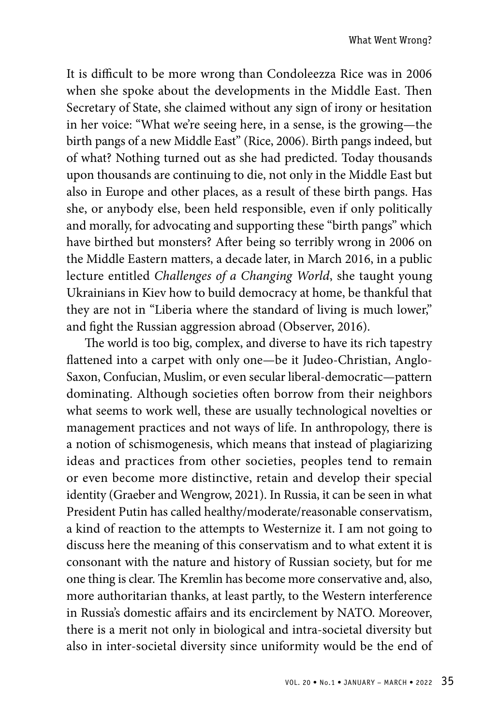It is difficult to be more wrong than Condoleezza Rice was in 2006 when she spoke about the developments in the Middle East. Then Secretary of State, she claimed without any sign of irony or hesitation in her voice: "What we're seeing here, in a sense, is the growing—the birth pangs of a new Middle East" (Rice, 2006). Birth pangs indeed, but of what? Nothing turned out as she had predicted. Today thousands upon thousands are continuing to die, not only in the Middle East but also in Europe and other places, as a result of these birth pangs. Has she, or anybody else, been held responsible, even if only politically and morally, for advocating and supporting these "birth pangs" which have birthed but monsters? After being so terribly wrong in 2006 on the Middle Eastern matters, a decade later, in March 2016, in a public lecture entitled *Challenges of a Changing World*, she taught young Ukrainians in Kiev how to build democracy at home, be thankful that they are not in "Liberia where the standard of living is much lower," and fight the Russian aggression abroad (Observer, 2016).

The world is too big, complex, and diverse to have its rich tapestry flattened into a carpet with only one—be it Judeo-Christian, Anglo-Saxon, Confucian, Muslim, or even secular liberal-democratic—pattern dominating. Although societies often borrow from their neighbors what seems to work well, these are usually technological novelties or management practices and not ways of life. In anthropology, there is a notion of schismogenesis, which means that instead of plagiarizing ideas and practices from other societies, peoples tend to remain or even become more distinctive, retain and develop their special identity (Graeber and Wengrow, 2021). In Russia, it can be seen in what President Putin has called healthy/moderate/reasonable conservatism, a kind of reaction to the attempts to Westernize it. I am not going to discuss here the meaning of this conservatism and to what extent it is consonant with the nature and history of Russian society, but for me one thing is clear. The Kremlin has become more conservative and, also, more authoritarian thanks, at least partly, to the Western interference in Russia's domestic affairs and its encirclement by NATO. Moreover, there is a merit not only in biological and intra-societal diversity but also in inter-societal diversity since uniformity would be the end of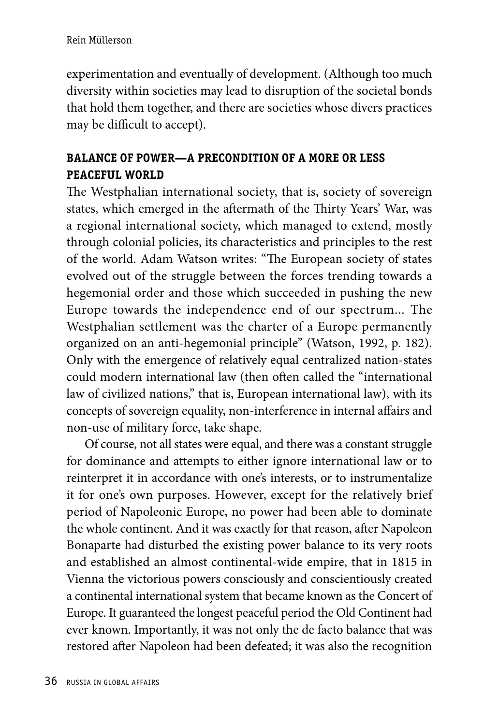experimentation and eventually of development. (Although too much diversity within societies may lead to disruption of the societal bonds that hold them together, and there are societies whose divers practices may be difficult to accept).

## **BALANCE OF POWER—A PRECONDITION OF A MORE OR LESS PEACEFUL WORLD**

The Westphalian international society, that is, society of sovereign states, which emerged in the aftermath of the Thirty Years' War, was a regional international society, which managed to extend, mostly through colonial policies, its characteristics and principles to the rest of the world. Adam Watson writes: "The European society of states evolved out of the struggle between the forces trending towards a hegemonial order and those which succeeded in pushing the new Europe towards the independence end of our spectrum... The Westphalian settlement was the charter of a Europe permanently organized on an anti-hegemonial principle" (Watson, 1992, p. 182). Only with the emergence of relatively equal centralized nation-states could modern international law (then often called the "international law of civilized nations," that is, European international law), with its concepts of sovereign equality, non-interference in internal affairs and non-use of military force, take shape.

Of course, not all states were equal, and there was a constant struggle for dominance and attempts to either ignore international law or to reinterpret it in accordance with one's interests, or to instrumentalize it for one's own purposes. However, except for the relatively brief period of Napoleonic Europe, no power had been able to dominate the whole continent. And it was exactly for that reason, after Napoleon Bonaparte had disturbed the existing power balance to its very roots and established an almost continental-wide empire, that in 1815 in Vienna the victorious powers consciously and conscientiously created a continental international system that became known as the Concert of Europe. It guaranteed the longest peaceful period the Old Continent had ever known. Importantly, it was not only the de facto balance that was restored after Napoleon had been defeated; it was also the recognition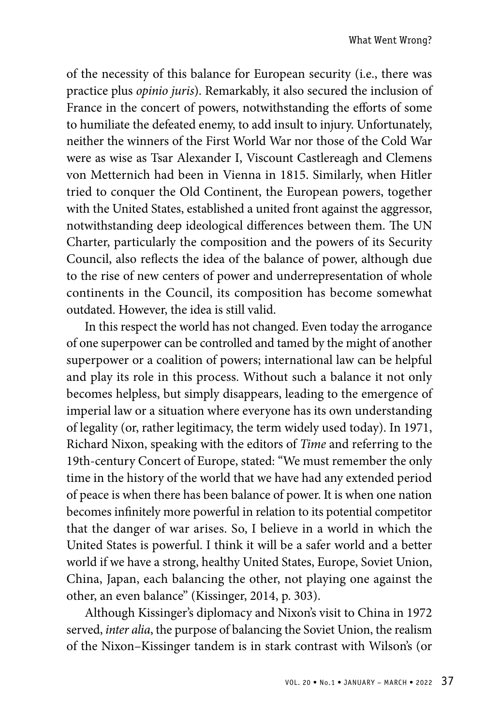of the necessity of this balance for European security (i.e., there was practice plus *opinio juris*). Remarkably, it also secured the inclusion of France in the concert of powers, notwithstanding the efforts of some to humiliate the defeated enemy, to add insult to injury. Unfortunately, neither the winners of the First World War nor those of the Cold War were as wise as Tsar Alexander I, Viscount Castlereagh and Clemens von Metternich had been in Vienna in 1815. Similarly, when Hitler tried to conquer the Old Continent, the European powers, together with the United States, established a united front against the aggressor, notwithstanding deep ideological differences between them. The UN Charter, particularly the composition and the powers of its Security Council, also reflects the idea of the balance of power, although due to the rise of new centers of power and underrepresentation of whole continents in the Council, its composition has become somewhat outdated. However, the idea is still valid.

In this respect the world has not changed. Even today the arrogance of one superpower can be controlled and tamed by the might of another superpower or a coalition of powers; international law can be helpful and play its role in this process. Without such a balance it not only becomes helpless, but simply disappears, leading to the emergence of imperial law or a situation where everyone has its own understanding of legality (or, rather legitimacy, the term widely used today). In 1971, Richard Nixon, speaking with the editors of *Time* and referring to the 19th-century Concert of Europe, stated: "We must remember the only time in the history of the world that we have had any extended period of peace is when there has been balance of power. It is when one nation becomes infinitely more powerful in relation to its potential competitor that the danger of war arises. So, I believe in a world in which the United States is powerful. I think it will be a safer world and a better world if we have a strong, healthy United States, Europe, Soviet Union, China, Japan, each balancing the other, not playing one against the other, an even balance" (Kissinger, 2014, p. 303).

Although Kissinger's diplomacy and Nixon's visit to China in 1972 served, *inter alia*, the purpose of balancing the Soviet Union, the realism of the Nixon–Kissinger tandem is in stark contrast with Wilson's (or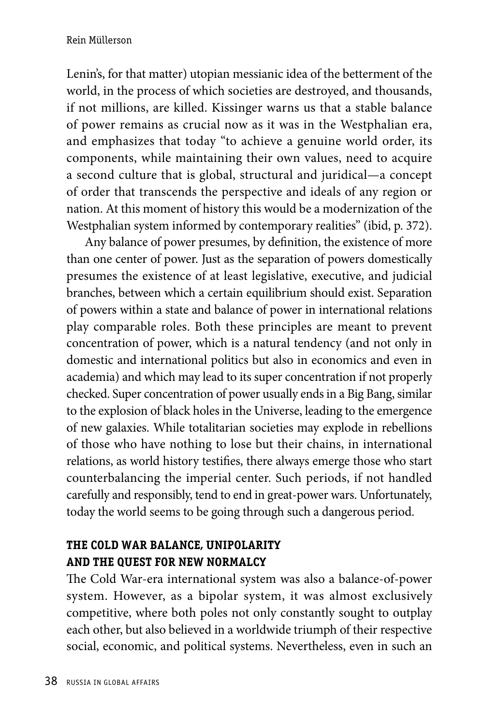Lenin's, for that matter) utopian messianic idea of the betterment of the world, in the process of which societies are destroyed, and thousands, if not millions, are killed. Kissinger warns us that a stable balance of power remains as crucial now as it was in the Westphalian era, and emphasizes that today "to achieve a genuine world order, its components, while maintaining their own values, need to acquire a second culture that is global, structural and juridical—a concept of order that transcends the perspective and ideals of any region or nation. At this moment of history this would be a modernization of the Westphalian system informed by contemporary realities" (ibid, p. 372).

Any balance of power presumes, by definition, the existence of more than one center of power. Just as the separation of powers domestically presumes the existence of at least legislative, executive, and judicial branches, between which a certain equilibrium should exist. Separation of powers within a state and balance of power in international relations play comparable roles. Both these principles are meant to prevent concentration of power, which is a natural tendency (and not only in domestic and international politics but also in economics and even in academia) and which may lead to its super concentration if not properly checked. Super concentration of power usually ends in a Big Bang, similar to the explosion of black holes in the Universe, leading to the emergence of new galaxies. While totalitarian societies may explode in rebellions of those who have nothing to lose but their chains, in international relations, as world history testifies, there always emerge those who start counterbalancing the imperial center. Such periods, if not handled carefully and responsibly, tend to end in great-power wars. Unfortunately, today the world seems to be going through such a dangerous period.

## **THE COLD WAR BALANCE, UNIPOLARITY AND THE QUEST FOR NEW NORMALCY**

The Cold War-era international system was also a balance-of-power system. However, as a bipolar system, it was almost exclusively competitive, where both poles not only constantly sought to outplay each other, but also believed in a worldwide triumph of their respective social, economic, and political systems. Nevertheless, even in such an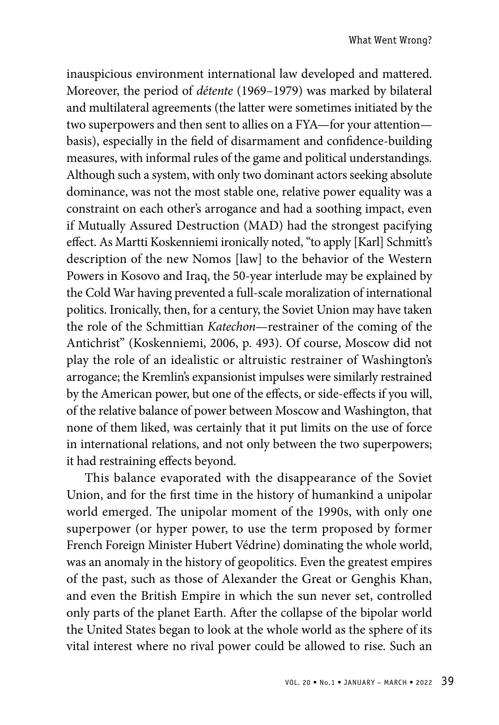inauspicious environment international law developed and mattered. Moreover, the period of *détente* (1969–1979) was marked by bilateral and multilateral agreements (the latter were sometimes initiated by the two superpowers and then sent to allies on a FYA—for your attention basis), especially in the field of disarmament and confidence-building measures, with informal rules of the game and political understandings. Although such a system, with only two dominant actors seeking absolute dominance, was not the most stable one, relative power equality was a constraint on each other's arrogance and had a soothing impact, even if Mutually Assured Destruction (MAD) had the strongest pacifying effect. As Martti Koskenniemi ironically noted, "to apply [Karl] Schmitt's description of the new Nomos [law] to the behavior of the Western Powers in Kosovo and Iraq, the 50-year interlude may be explained by the Cold War having prevented a full-scale moralization of international politics. Ironically, then, for a century, the Soviet Union may have taken the role of the Schmittian *Katechon*—restrainer of the coming of the Antichrist" (Koskenniemi, 2006, p. 493). Of course, Moscow did not play the role of an idealistic or altruistic restrainer of Washington's arrogance; the Kremlin's expansionist impulses were similarly restrained by the American power, but one of the effects, or side-effects if you will, of the relative balance of power between Moscow and Washington, that none of them liked, was certainly that it put limits on the use of force in international relations, and not only between the two superpowers; it had restraining effects beyond.

This balance evaporated with the disappearance of the Soviet Union, and for the first time in the history of humankind a unipolar world emerged. The unipolar moment of the 1990s, with only one superpower (or hyper power, to use the term proposed by former French Foreign Minister Hubert Védrine) dominating the whole world, was an anomaly in the history of geopolitics. Even the greatest empires of the past, such as those of Alexander the Great or Genghis Khan, and even the British Empire in which the sun never set, controlled only parts of the planet Earth. After the collapse of the bipolar world the United States began to look at the whole world as the sphere of its vital interest where no rival power could be allowed to rise. Such an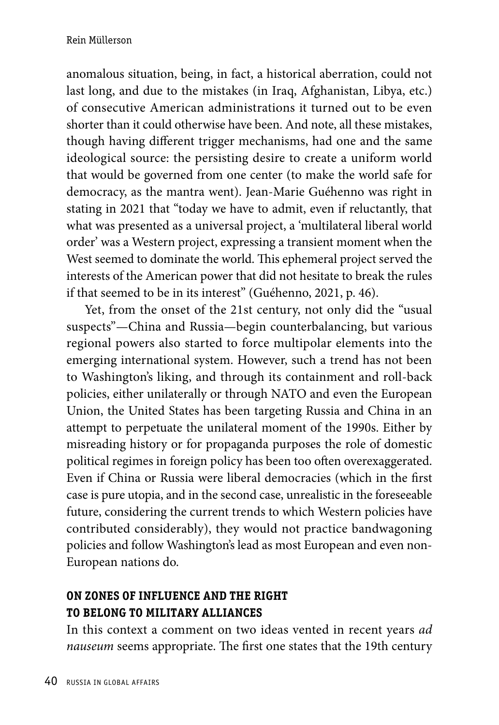anomalous situation, being, in fact, a historical aberration, could not last long, and due to the mistakes (in Iraq, Afghanistan, Libya, etc.) of consecutive American administrations it turned out to be even shorter than it could otherwise have been. And note, all these mistakes, though having different trigger mechanisms, had one and the same ideological source: the persisting desire to create a uniform world that would be governed from one center (to make the world safe for democracy, as the mantra went). Jean-Marie Guéhenno was right in stating in 2021 that "today we have to admit, even if reluctantly, that what was presented as a universal project, a 'multilateral liberal world order' was a Western project, expressing a transient moment when the West seemed to dominate the world. This ephemeral project served the interests of the American power that did not hesitate to break the rules if that seemed to be in its interest" (Guéhenno, 2021, p. 46).

Yet, from the onset of the 21st century, not only did the "usual suspects"—China and Russia—begin counterbalancing, but various regional powers also started to force multipolar elements into the emerging international system. However, such a trend has not been to Washington's liking, and through its containment and roll-back policies, either unilaterally or through NATO and even the European Union, the United States has been targeting Russia and China in an attempt to perpetuate the unilateral moment of the 1990s. Either by misreading history or for propaganda purposes the role of domestic political regimes in foreign policy has been too often overexaggerated. Even if China or Russia were liberal democracies (which in the first case is pure utopia, and in the second case, unrealistic in the foreseeable future, considering the current trends to which Western policies have contributed considerably), they would not practice bandwagoning policies and follow Washington's lead as most European and even non-European nations do.

## **ON ZONES OF INFLUENCE AND THE RIGHT TO BELONG TO MILITARY ALLIANCES**

In this context a comment on two ideas vented in recent years *ad nauseum* seems appropriate. The first one states that the 19th century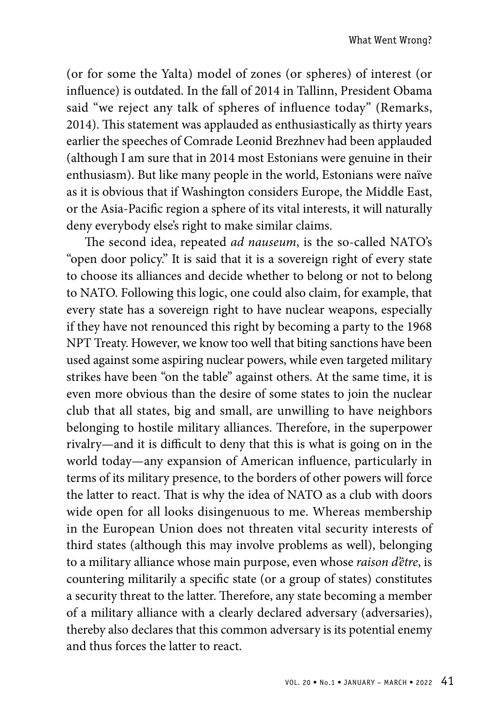(or for some the Yalta) model of zones (or spheres) of interest (or influence) is outdated. In the fall of 2014 in Tallinn, President Obama said "we reject any talk of spheres of influence today" (Remarks, 2014). This statement was applauded as enthusiastically as thirty years earlier the speeches of Comrade Leonid Brezhnev had been applauded (although I am sure that in 2014 most Estonians were genuine in their enthusiasm). But like many people in the world, Estonians were naïve as it is obvious that if Washington considers Europe, the Middle East, or the Asia-Pacific region a sphere of its vital interests, it will naturally deny everybody else's right to make similar claims.

The second idea, repeated *ad nauseum*, is the so-called NATO's "open door policy." It is said that it is a sovereign right of every state to choose its alliances and decide whether to belong or not to belong to NATO. Following this logic, one could also claim, for example, that every state has a sovereign right to have nuclear weapons, especially if they have not renounced this right by becoming a party to the 1968 NPT Treaty. However, we know too well that biting sanctions have been used against some aspiring nuclear powers, while even targeted military strikes have been "on the table" against others. At the same time, it is even more obvious than the desire of some states to join the nuclear club that all states, big and small, are unwilling to have neighbors belonging to hostile military alliances. Therefore, in the superpower rivalry—and it is difficult to deny that this is what is going on in the world today—any expansion of American influence, particularly in terms of its military presence, to the borders of other powers will force the latter to react. That is why the idea of NATO as a club with doors wide open for all looks disingenuous to me. Whereas membership in the European Union does not threaten vital security interests of third states (although this may involve problems as well), belonging to a military alliance whose main purpose, even whose *raison d'être*, is countering militarily a specific state (or a group of states) constitutes a security threat to the latter. Therefore, any state becoming a member of a military alliance with a clearly declared adversary (adversaries), thereby also declares that this common adversary is its potential enemy and thus forces the latter to react.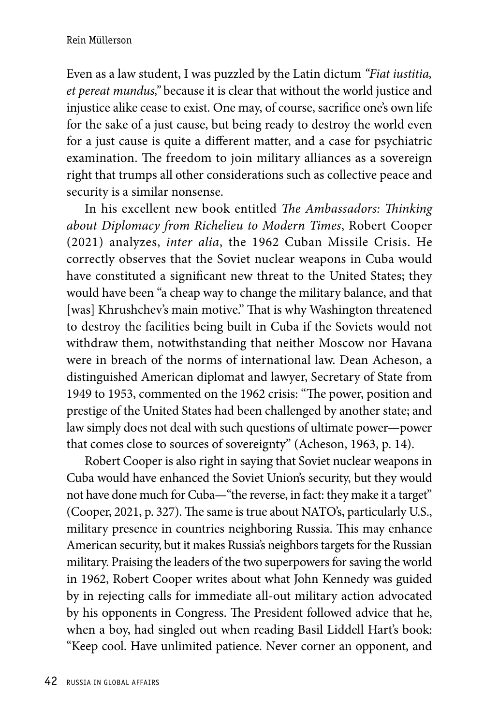Even as a law student, I was puzzled by the Latin dictum *"Fiat iustitia, et pereat mundus,"* because it is clear that without the world justice and injustice alike cease to exist. One may, of course, sacrifice one's own life for the sake of a just cause, but being ready to destroy the world even for a just cause is quite a different matter, and a case for psychiatric examination. The freedom to join military alliances as a sovereign right that trumps all other considerations such as collective peace and security is a similar nonsense.

In his excellent new book entitled *The Ambassadors: Thinking about Diplomacy from Richelieu to Modern Times*, Robert Cooper (2021) analyzes, *inter alia*, the 1962 Cuban Missile Crisis. He correctly observes that the Soviet nuclear weapons in Cuba would have constituted a significant new threat to the United States; they would have been "a cheap way to change the military balance, and that [was] Khrushchev's main motive." That is why Washington threatened to destroy the facilities being built in Cuba if the Soviets would not withdraw them, notwithstanding that neither Moscow nor Havana were in breach of the norms of international law. Dean Acheson, a distinguished American diplomat and lawyer, Secretary of State from 1949 to 1953, commented on the 1962 crisis: "The power, position and prestige of the United States had been challenged by another state; and law simply does not deal with such questions of ultimate power—power that comes close to sources of sovereignty" (Acheson, 1963, p. 14).

Robert Cooper is also right in saying that Soviet nuclear weapons in Cuba would have enhanced the Soviet Union's security, but they would not have done much for Cuba—"the reverse, in fact: they make it a target" (Cooper, 2021, p. 327). The same is true about NATO's, particularly U.S., military presence in countries neighboring Russia. This may enhance American security, but it makes Russia's neighbors targets for the Russian military. Praising the leaders of the two superpowers for saving the world in 1962, Robert Cooper writes about what John Kennedy was guided by in rejecting calls for immediate all-out military action advocated by his opponents in Congress. The President followed advice that he, when a boy, had singled out when reading Basil Liddell Hart's book: "Keep cool. Have unlimited patience. Never corner an opponent, and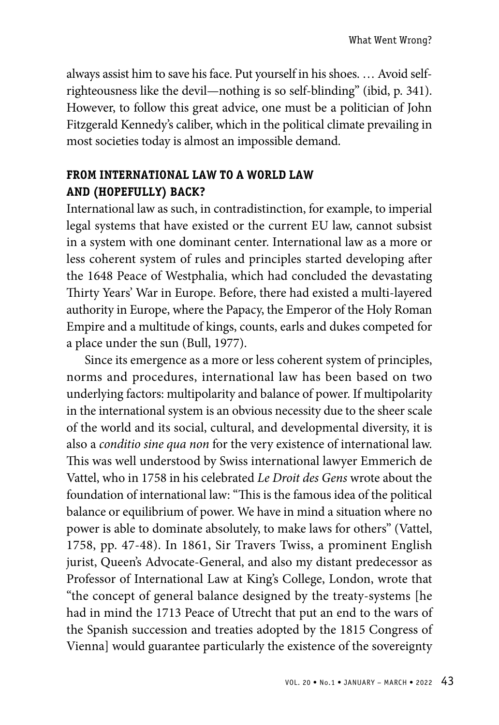always assist him to save his face. Put yourself in his shoes. … Avoid selfrighteousness like the devil—nothing is so self-blinding" (ibid, p. 341). However, to follow this great advice, one must be a politician of John Fitzgerald Kennedy's caliber, which in the political climate prevailing in most societies today is almost an impossible demand.

## **FROM INTERNATIONAL LAW TO A WORLD LAW AND (HOPEFULLY) BACK?**

International law as such, in contradistinction, for example, to imperial legal systems that have existed or the current EU law, cannot subsist in a system with one dominant center. International law as a more or less coherent system of rules and principles started developing after the 1648 Peace of Westphalia, which had concluded the devastating Thirty Years' War in Europe. Before, there had existed a multi-layered authority in Europe, where the Papacy, the Emperor of the Holy Roman Empire and a multitude of kings, counts, earls and dukes competed for a place under the sun (Bull, 1977).

Since its emergence as a more or less coherent system of principles, norms and procedures, international law has been based on two underlying factors: multipolarity and balance of power. If multipolarity in the international system is an obvious necessity due to the sheer scale of the world and its social, cultural, and developmental diversity, it is also a *conditio sine qua non* for the very existence of international law. This was well understood by Swiss international lawyer Emmerich de Vattel, who in 1758 in his celebrated *Le Droit des Gens* wrote about the foundation of international law: "This is the famous idea of the political balance or equilibrium of power. We have in mind a situation where no power is able to dominate absolutely, to make laws for others" (Vattel, 1758, pp. 47-48). In 1861, Sir Travers Twiss, a prominent English jurist, Queen's Advocate-General, and also my distant predecessor as Professor of International Law at King's College, London, wrote that "the concept of general balance designed by the treaty-systems [he had in mind the 1713 Peace of Utrecht that put an end to the wars of the Spanish succession and treaties adopted by the 1815 Congress of Vienna] would guarantee particularly the existence of the sovereignty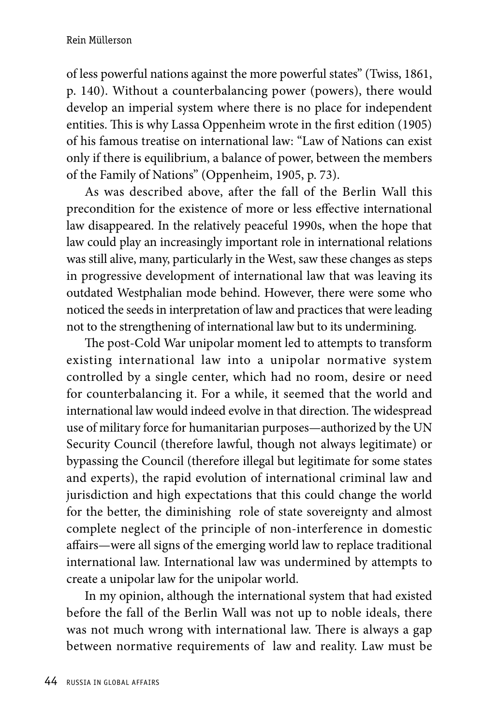of less powerful nations against the more powerful states" (Twiss, 1861, p. 140). Without a counterbalancing power (powers), there would develop an imperial system where there is no place for independent entities. This is why Lassa Oppenheim wrote in the first edition (1905) of his famous treatise on international law: "Law of Nations can exist only if there is equilibrium, a balance of power, between the members of the Family of Nations" (Oppenheim, 1905, p. 73).

As was described above, after the fall of the Berlin Wall this precondition for the existence of more or less effective international law disappeared. In the relatively peaceful 1990s, when the hope that law could play an increasingly important role in international relations was still alive, many, particularly in the West, saw these changes as steps in progressive development of international law that was leaving its outdated Westphalian mode behind. However, there were some who noticed the seeds in interpretation of law and practices that were leading not to the strengthening of international law but to its undermining.

The post-Cold War unipolar moment led to attempts to transform existing international law into a unipolar normative system controlled by a single center, which had no room, desire or need for counterbalancing it. For a while, it seemed that the world and international law would indeed evolve in that direction. The widespread use of military force for humanitarian purposes—authorized by the UN Security Council (therefore lawful, though not always legitimate) or bypassing the Council (therefore illegal but legitimate for some states and experts), the rapid evolution of international criminal law and jurisdiction and high expectations that this could change the world for the better, the diminishing role of state sovereignty and almost complete neglect of the principle of non-interference in domestic affairs—were all signs of the emerging world law to replace traditional international law. International law was undermined by attempts to create a unipolar law for the unipolar world.

In my opinion, although the international system that had existed before the fall of the Berlin Wall was not up to noble ideals, there was not much wrong with international law. There is always a gap between normative requirements of law and reality. Law must be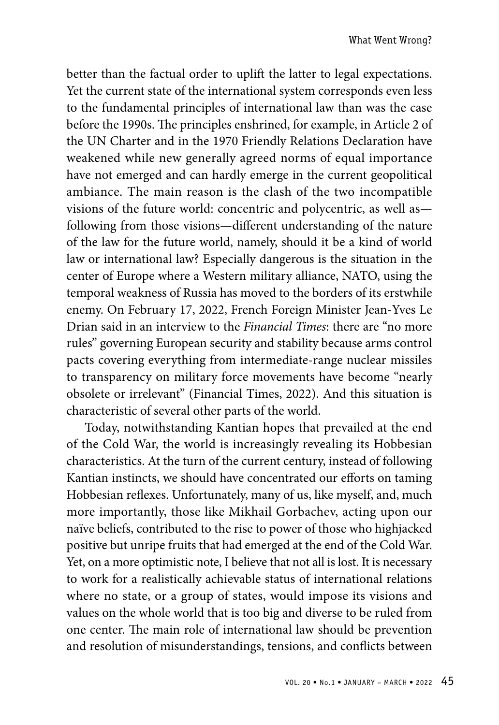better than the factual order to uplift the latter to legal expectations. Yet the current state of the international system corresponds even less to the fundamental principles of international law than was the case before the 1990s. The principles enshrined, for example, in Article 2 of the UN Charter and in the 1970 Friendly Relations Declaration have weakened while new generally agreed norms of equal importance have not emerged and can hardly emerge in the current geopolitical ambiance. The main reason is the clash of the two incompatible visions of the future world: concentric and polycentric, as well as following from those visions—different understanding of the nature of the law for the future world, namely, should it be a kind of world law or international law? Especially dangerous is the situation in the center of Europe where a Western military alliance, NATO, using the temporal weakness of Russia has moved to the borders of its erstwhile enemy. On February 17, 2022, French Foreign Minister Jean-Yves Le Drian said in an interview to the *Financial Times*: there are "no more rules" governing European security and stability because arms control pacts covering everything from intermediate-range nuclear missiles to transparency on military force movements have become "nearly obsolete or irrelevant" (Financial Times, 2022). And this situation is characteristic of several other parts of the world.

Today, notwithstanding Kantian hopes that prevailed at the end of the Cold War, the world is increasingly revealing its Hobbesian characteristics. At the turn of the current century, instead of following Kantian instincts, we should have concentrated our efforts on taming Hobbesian reflexes. Unfortunately, many of us, like myself, and, much more importantly, those like Mikhail Gorbachev, acting upon our naïve beliefs, contributed to the rise to power of those who highjacked positive but unripe fruits that had emerged at the end of the Cold War. Yet, on a more optimistic note, I believe that not all is lost. It is necessary to work for a realistically achievable status of international relations where no state, or a group of states, would impose its visions and values on the whole world that is too big and diverse to be ruled from one center. The main role of international law should be prevention and resolution of misunderstandings, tensions, and conflicts between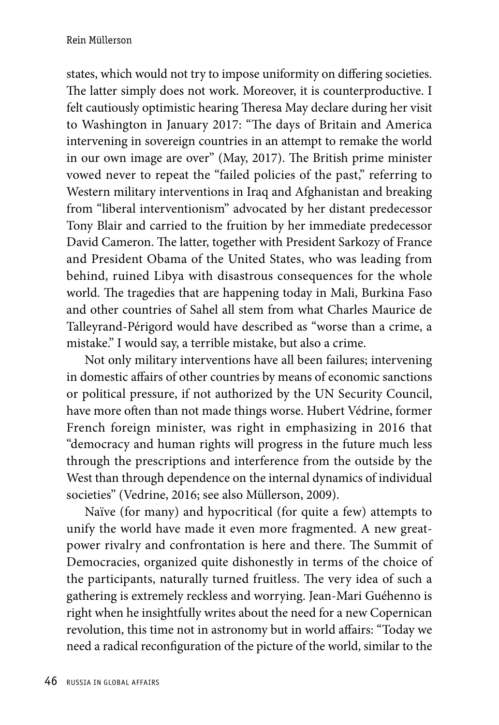states, which would not try to impose uniformity on differing societies. The latter simply does not work. Moreover, it is counterproductive. I felt cautiously optimistic hearing Theresa May declare during her visit to Washington in January 2017: "The days of Britain and America intervening in sovereign countries in an attempt to remake the world in our own image are over" (May, 2017). The British prime minister vowed never to repeat the "failed policies of the past," referring to Western military interventions in Iraq and Afghanistan and breaking from "liberal interventionism" advocated by her distant predecessor Tony Blair and carried to the fruition by her immediate predecessor David Cameron. The latter, together with President Sarkozy of France and President Obama of the United States, who was leading from behind, ruined Libya with disastrous consequences for the whole world. The tragedies that are happening today in Mali, Burkina Faso and other countries of Sahel all stem from what Charles Maurice de Talleyrand-Périgord would have described as "worse than a crime, a mistake." I would say, a terrible mistake, but also a crime.

Not only military interventions have all been failures; intervening in domestic affairs of other countries by means of economic sanctions or political pressure, if not authorized by the UN Security Council, have more often than not made things worse. Hubert Védrine, former French foreign minister, was right in emphasizing in 2016 that "democracy and human rights will progress in the future much less through the prescriptions and interference from the outside by the West than through dependence on the internal dynamics of individual societies" (Vedrine, 2016; see also Müllerson, 2009).

Naïve (for many) and hypocritical (for quite a few) attempts to unify the world have made it even more fragmented. A new greatpower rivalry and confrontation is here and there. The Summit of Democracies, organized quite dishonestly in terms of the choice of the participants, naturally turned fruitless. The very idea of such a gathering is extremely reckless and worrying. Jean-Mari Guéhenno is right when he insightfully writes about the need for a new Copernican revolution, this time not in astronomy but in world affairs: "Today we need a radical reconfiguration of the picture of the world, similar to the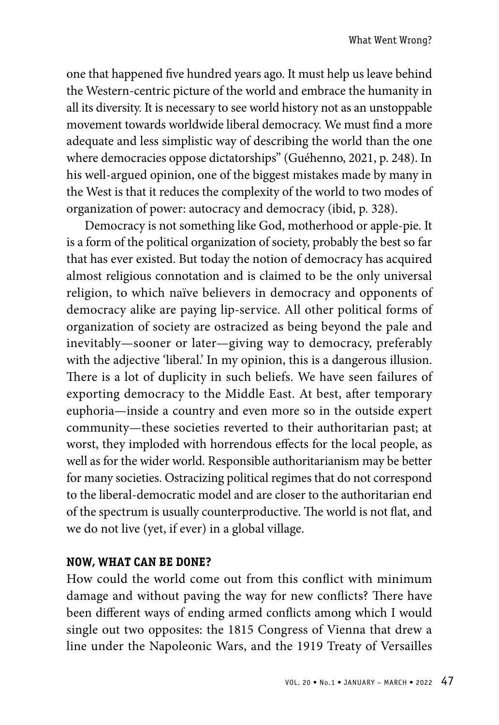one that happened five hundred years ago. It must help us leave behind the Western-centric picture of the world and embrace the humanity in all its diversity. It is necessary to see world history not as an unstoppable movement towards worldwide liberal democracy. We must find a more adequate and less simplistic way of describing the world than the one where democracies oppose dictatorships" (Guéhenno, 2021, p. 248). In his well-argued opinion, one of the biggest mistakes made by many in the West is that it reduces the complexity of the world to two modes of organization of power: autocracy and democracy (ibid, p. 328).

Democracy is not something like God, motherhood or apple-pie. It is a form of the political organization of society, probably the best so far that has ever existed. But today the notion of democracy has acquired almost religious connotation and is claimed to be the only universal religion, to which naïve believers in democracy and opponents of democracy alike are paying lip-service. All other political forms of organization of society are ostracized as being beyond the pale and inevitably—sooner or later—giving way to democracy, preferably with the adjective 'liberal'. In my opinion, this is a dangerous illusion. There is a lot of duplicity in such beliefs. We have seen failures of exporting democracy to the Middle East. At best, after temporary euphoria—inside a country and even more so in the outside expert community—these societies reverted to their authoritarian past; at worst, they imploded with horrendous effects for the local people, as well as for the wider world. Responsible authoritarianism may be better for many societies. Ostracizing political regimes that do not correspond to the liberal-democratic model and are closer to the authoritarian end of the spectrum is usually counterproductive. The world is not flat, and we do not live (yet, if ever) in a global village.

## **NOW, WHAT CAN BE DONE?**

How could the world come out from this conflict with minimum damage and without paving the way for new conflicts? There have been different ways of ending armed conflicts among which I would single out two opposites: the 1815 Congress of Vienna that drew a line under the Napoleonic Wars, and the 1919 Treaty of Versailles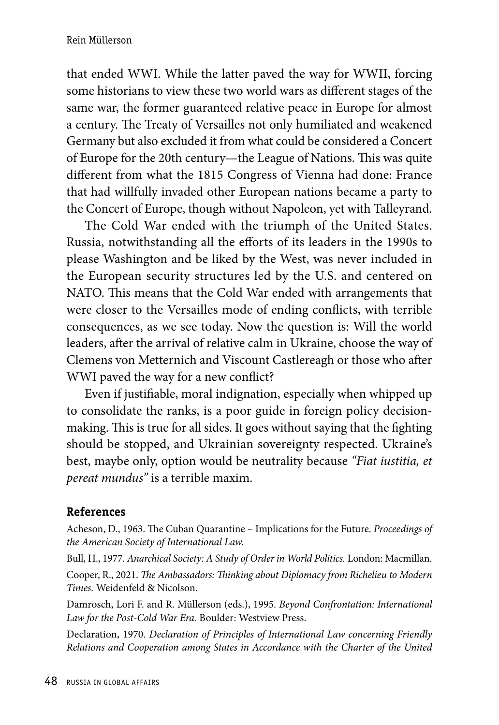that ended WWI. While the latter paved the way for WWII, forcing some historians to view these two world wars as different stages of the same war, the former guaranteed relative peace in Europe for almost a century. The Treaty of Versailles not only humiliated and weakened Germany but also excluded it from what could be considered a Concert of Europe for the 20th century—the League of Nations. This was quite different from what the 1815 Congress of Vienna had done: France that had willfully invaded other European nations became a party to the Concert of Europe, though without Napoleon, yet with Talleyrand.

The Cold War ended with the triumph of the United States. Russia, notwithstanding all the efforts of its leaders in the 1990s to please Washington and be liked by the West, was never included in the European security structures led by the U.S. and centered on NATO. This means that the Cold War ended with arrangements that were closer to the Versailles mode of ending conflicts, with terrible consequences, as we see today. Now the question is: Will the world leaders, after the arrival of relative calm in Ukraine, choose the way of Clemens von Metternich and Viscount Castlereagh or those who after WWI paved the way for a new conflict?

Even if justifiable, moral indignation, especially when whipped up to consolidate the ranks, is a poor guide in foreign policy decisionmaking. This is true for all sides. It goes without saying that the fighting should be stopped, and Ukrainian sovereignty respected. Ukraine's best, maybe only, option would be neutrality because *"Fiat iustitia, et pereat mundus"* is a terrible maxim.

## **References**

Acheson, D., 1963. The Cuban Quarantine – Implications for the Future. *Proceedings of the American Society of International Law.*

Bull, H., 1977. *Anarchical Society: A Study of Order in World Politics.* London: Macmillan. Cooper, R., 2021. *The Ambassadors: Thinking about Diplomacy from Richelieu to Modern Times.* Weidenfeld & Nicolson.

Damrosch, Lori F. and R. Müllerson (eds.), 1995. *Beyond Confrontation: International Law for the Post-Cold War Era.* Boulder: Westview Press.

Declaration, 1970. *Declaration of Principles of International Law concerning Friendly Relations and Cooperation among States in Accordance with the Charter of the United*